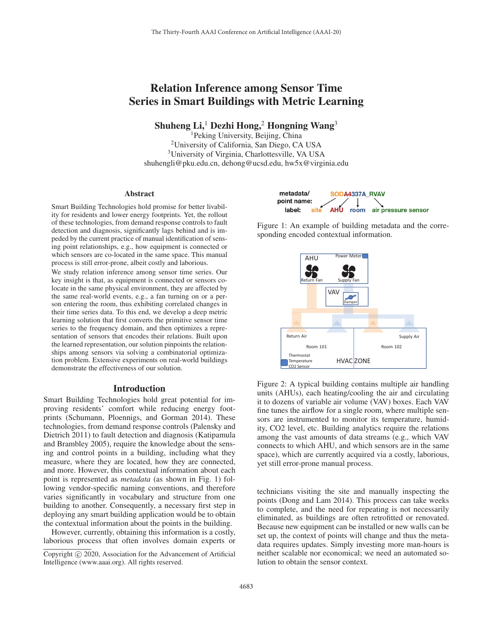# Relation Inference among Sensor Time Series in Smart Buildings with Metric Learning

Shuheng Li,<sup>1</sup> Dezhi Hong,<sup>2</sup> Hongning Wang<sup>3</sup>

1Peking University, Beijing, China 2University of California, San Diego, CA USA 3University of Virginia, Charlottesville, VA USA shuhengli@pku.edu.cn, dehong@ucsd.edu, hw5x@virginia.edu

#### Abstract

Smart Building Technologies hold promise for better livability for residents and lower energy footprints. Yet, the rollout of these technologies, from demand response controls to fault detection and diagnosis, significantly lags behind and is impeded by the current practice of manual identification of sensing point relationships, e.g., how equipment is connected or which sensors are co-located in the same space. This manual process is still error-prone, albeit costly and laborious.

We study relation inference among sensor time series. Our key insight is that, as equipment is connected or sensors colocate in the same physical environment, they are affected by the same real-world events, e.g., a fan turning on or a person entering the room, thus exhibiting correlated changes in their time series data. To this end, we develop a deep metric learning solution that first converts the primitive sensor time series to the frequency domain, and then optimizes a representation of sensors that encodes their relations. Built upon the learned representation, our solution pinpoints the relationships among sensors via solving a combinatorial optimization problem. Extensive experiments on real-world buildings demonstrate the effectiveness of our solution.

### Introduction

Smart Building Technologies hold great potential for improving residents' comfort while reducing energy footprints (Schumann, Ploennigs, and Gorman 2014). These technologies, from demand response controls (Palensky and Dietrich 2011) to fault detection and diagnosis (Katipamula and Brambley 2005), require the knowledge about the sensing and control points in a building, including what they measure, where they are located, how they are connected, and more. However, this contextual information about each point is represented as *metadata* (as shown in Fig. 1) following vendor-specific naming conventions, and therefore varies significantly in vocabulary and structure from one building to another. Consequently, a necessary first step in deploying any smart building application would be to obtain the contextual information about the points in the building.

However, currently, obtaining this information is a costly, laborious process that often involves domain experts or



Figure 1: An example of building metadata and the corresponding encoded contextual information.



Figure 2: A typical building contains multiple air handling units (AHUs), each heating/cooling the air and circulating it to dozens of variable air volume (VAV) boxes. Each VAV fine tunes the airflow for a single room, where multiple sensors are instrumented to monitor its temperature, humidity, CO2 level, etc. Building analytics require the relations among the vast amounts of data streams (e.g., which VAV connects to which AHU, and which sensors are in the same space), which are currently acquired via a costly, laborious, yet still error-prone manual process.

technicians visiting the site and manually inspecting the points (Dong and Lam 2014). This process can take weeks to complete, and the need for repeating is not necessarily eliminated, as buildings are often retrofitted or renovated. Because new equipment can be installed or new walls can be set up, the context of points will change and thus the metadata requires updates. Simply investing more man-hours is neither scalable nor economical; we need an automated solution to obtain the sensor context.

Copyright  $\odot$  2020, Association for the Advancement of Artificial Intelligence (www.aaai.org). All rights reserved.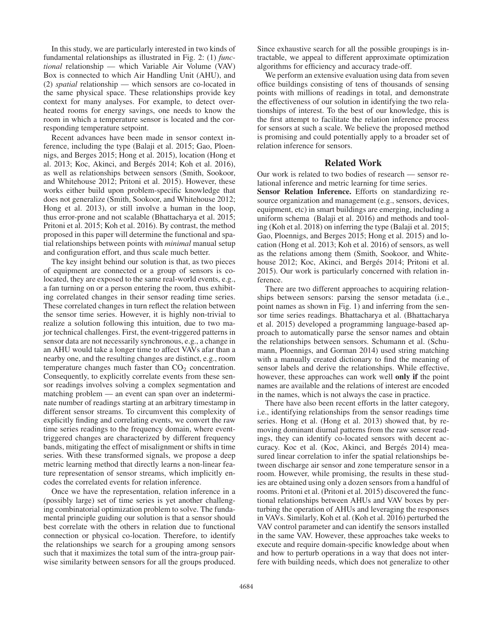In this study, we are particularly interested in two kinds of fundamental relationships as illustrated in Fig. 2: (1) *functional* relationship — which Variable Air Volume (VAV) Box is connected to which Air Handling Unit (AHU), and (2) *spatial* relationship — which sensors are co-located in the same physical space. These relationships provide key context for many analyses. For example, to detect overheated rooms for energy savings, one needs to know the room in which a temperature sensor is located and the corresponding temperature setpoint.

Recent advances have been made in sensor context inference, including the type (Balaji et al. 2015; Gao, Ploennigs, and Berges 2015; Hong et al. 2015), location (Hong et al. 2013; Koc, Akinci, and Bergés 2014; Koh et al. 2016), as well as relationships between sensors (Smith, Sookoor, and Whitehouse 2012; Pritoni et al. 2015). However, these works either build upon problem-specific knowledge that does not generalize (Smith, Sookoor, and Whitehouse 2012; Hong et al. 2013), or still involve a human in the loop, thus error-prone and not scalable (Bhattacharya et al. 2015; Pritoni et al. 2015; Koh et al. 2016). By contrast, the method proposed in this paper will determine the functional and spatial relationships between points with *minimal* manual setup and configuration effort, and thus scale much better.

The key insight behind our solution is that, as two pieces of equipment are connected or a group of sensors is colocated, they are exposed to the same real-world events, e.g., a fan turning on or a person entering the room, thus exhibiting correlated changes in their sensor reading time series. These correlated changes in turn reflect the relation between the sensor time series. However, it is highly non-trivial to realize a solution following this intuition, due to two major technical challenges. First, the event-triggered patterns in sensor data are not necessarily synchronous, e.g., a change in an AHU would take a longer time to affect VAVs afar than a nearby one, and the resulting changes are distinct, e.g., room temperature changes much faster than  $CO<sub>2</sub>$  concentration. Consequently, to explicitly correlate events from these sensor readings involves solving a complex segmentation and matching problem — an event can span over an indeterminate number of readings starting at an arbitrary timestamp in different sensor streams. To circumvent this complexity of explicitly finding and correlating events, we convert the raw time series readings to the frequency domain, where eventtriggered changes are characterized by different frequency bands, mitigating the effect of misalignment or shifts in time series. With these transformed signals, we propose a deep metric learning method that directly learns a non-linear feature representation of sensor streams, which implicitly encodes the correlated events for relation inference.

Once we have the representation, relation inference in a (possibly large) set of time series is yet another challenging combinatorial optimization problem to solve. The fundamental principle guiding our solution is that a sensor should best correlate with the others in relation due to functional connection or physical co-location. Therefore, to identify the relationships we search for a grouping among sensors such that it maximizes the total sum of the intra-group pairwise similarity between sensors for all the groups produced.

Since exhaustive search for all the possible groupings is intractable, we appeal to different approximate optimization algorithms for efficiency and accuracy trade-off.

We perform an extensive evaluation using data from seven office buildings consisting of tens of thousands of sensing points with millions of readings in total, and demonstrate the effectiveness of our solution in identifying the two relationships of interest. To the best of our knowledge, this is the first attempt to facilitate the relation inference process for sensors at such a scale. We believe the proposed method is promising and could potentially apply to a broader set of relation inference for sensors.

# Related Work

Our work is related to two bodies of research — sensor relational inference and metric learning for time series.

Sensor Relation Inference. Efforts on standardizing resource organization and management (e.g., sensors, devices, equipment, etc) in smart buildings are emerging, including a uniform schema (Balaji et al. 2016) and methods and tooling (Koh et al. 2018) on inferring the type (Balaji et al. 2015; Gao, Ploennigs, and Berges 2015; Hong et al. 2015) and location (Hong et al. 2013; Koh et al. 2016) of sensors, as well as the relations among them (Smith, Sookoor, and Whitehouse 2012; Koc, Akinci, and Bergés 2014; Pritoni et al. 2015). Our work is particularly concerned with relation inference.

There are two different approaches to acquiring relationships between sensors: parsing the sensor metadata (i.e., point names as shown in Fig. 1) and inferring from the sensor time series readings. Bhattacharya et al. (Bhattacharya et al. 2015) developed a programming language-based approach to automatically parse the sensor names and obtain the relationships between sensors. Schumann et al. (Schumann, Ploennigs, and Gorman 2014) used string matching with a manually created dictionary to find the meaning of sensor labels and derive the relationships. While effective, however, these approaches can work well only if the point names are available and the relations of interest are encoded in the names, which is not always the case in practice.

There have also been recent efforts in the latter category, i.e., identifying relationships from the sensor readings time series. Hong et al. (Hong et al. 2013) showed that, by removing dominant diurnal patterns from the raw sensor readings, they can identify co-located sensors with decent accuracy. Koc et al. (Koc, Akinci, and Bergés 2014) measured linear correlation to infer the spatial relationships between discharge air sensor and zone temperature sensor in a room. However, while promising, the results in these studies are obtained using only a dozen sensors from a handful of rooms. Pritoni et al. (Pritoni et al. 2015) discovered the functional relationships between AHUs and VAV boxes by perturbing the operation of AHUs and leveraging the responses in VAVs. Similarly, Koh et al. (Koh et al. 2016) perturbed the VAV control parameter and can identify the sensors installed in the same VAV. However, these approaches take weeks to execute and require domain-specific knowledge about when and how to perturb operations in a way that does not interfere with building needs, which does not generalize to other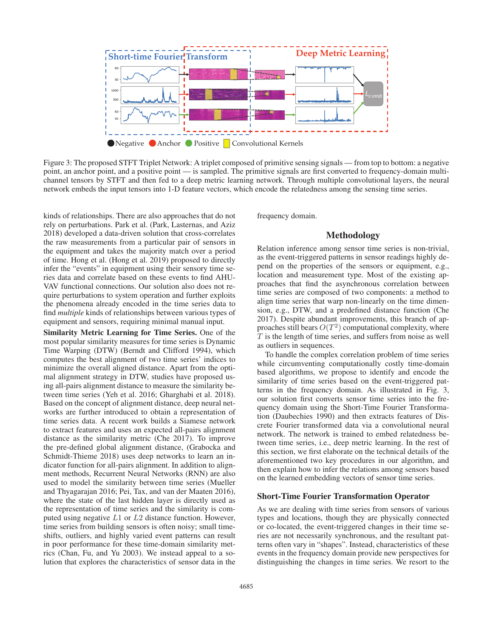

Figure 3: The proposed STFT Triplet Network: A triplet composed of primitive sensing signals — from top to bottom: a negative point, an anchor point, and a positive point — is sampled. The primitive signals are first converted to frequency-domain multichannel tensors by STFT and then fed to a deep metric learning network. Through multiple convolutional layers, the neural network embeds the input tensors into 1-D feature vectors, which encode the relatedness among the sensing time series.

kinds of relationships. There are also approaches that do not rely on perturbations. Park et al. (Park, Lasternas, and Aziz 2018) developed a data-driven solution that cross-correlates the raw measurements from a particular pair of sensors in the equipment and takes the majority match over a period of time. Hong et al. (Hong et al. 2019) proposed to directly infer the "events" in equipment using their sensory time series data and correlate based on these events to find AHU-VAV functional connections. Our solution also does not require perturbations to system operation and further exploits the phenomena already encoded in the time series data to find *multiple* kinds of relationships between various types of equipment and sensors, requiring minimal manual input.

Similarity Metric Learning for Time Series. One of the most popular similarity measures for time series is Dynamic Time Warping (DTW) (Berndt and Clifford 1994), which computes the best alignment of two time series' indices to minimize the overall aligned distance. Apart from the optimal alignment strategy in DTW, studies have proposed using all-pairs alignment distance to measure the similarity between time series (Yeh et al. 2016; Gharghabi et al. 2018). Based on the concept of alignment distance, deep neural networks are further introduced to obtain a representation of time series data. A recent work builds a Siamese network to extract features and uses an expected all-pairs alignment distance as the similarity metric (Che 2017). To improve the pre-defined global alignment distance, (Grabocka and Schmidt-Thieme 2018) uses deep networks to learn an indicator function for all-pairs alignment. In addition to alignment methods, Recurrent Neural Networks (RNN) are also used to model the similarity between time series (Mueller and Thyagarajan 2016; Pei, Tax, and van der Maaten 2016), where the state of the last hidden layer is directly used as the representation of time series and the similarity is computed using negative L1 or L2 distance function. However, time series from building sensors is often noisy; small timeshifts, outliers, and highly varied event patterns can result in poor performance for these time-domain similarity metrics (Chan, Fu, and Yu 2003). We instead appeal to a solution that explores the characteristics of sensor data in the

frequency domain.

## Methodology

Relation inference among sensor time series is non-trivial, as the event-triggered patterns in sensor readings highly depend on the properties of the sensors or equipment, e.g., location and measurement type. Most of the existing approaches that find the asynchronous correlation between time series are composed of two components: a method to align time series that warp non-linearly on the time dimension, e.g., DTW, and a predefined distance function (Che 2017). Despite abundant improvements, this branch of approaches still bears  $O(T^2)$  computational complexity, where  $T$  is the length of time series, and suffers from noise as well as outliers in sequences.

To handle the complex correlation problem of time series while circumventing computationally costly time-domain based algorithms, we propose to identify and encode the similarity of time series based on the event-triggered patterns in the frequency domain. As illustrated in Fig. 3, our solution first converts sensor time series into the frequency domain using the Short-Time Fourier Transformation (Daubechies 1990) and then extracts features of Discrete Fourier transformed data via a convolutional neural network. The network is trained to embed relatedness between time series, i.e., deep metric learning. In the rest of this section, we first elaborate on the technical details of the aforementioned two key procedures in our algorithm, and then explain how to infer the relations among sensors based on the learned embedding vectors of sensor time series.

#### Short-Time Fourier Transformation Operator

As we are dealing with time series from sensors of various types and locations, though they are physically connected or co-located, the event-triggered changes in their time series are not necessarily synchronous, and the resultant patterns often vary in "shapes". Instead, characteristics of these events in the frequency domain provide new perspectives for distinguishing the changes in time series. We resort to the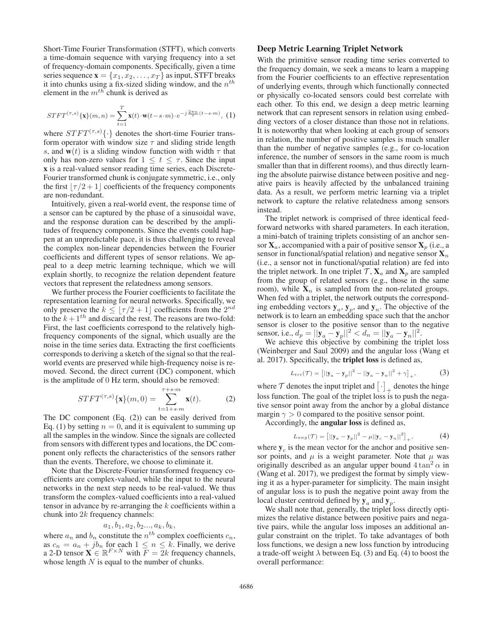Short-Time Fourier Transformation (STFT), which converts a time-domain sequence with varying frequency into a set of frequency-domain components. Specifically, given a time series sequence  $\mathbf{x} = \{x_1, x_2, \dots, x_T\}$  as input, STFT breaks it into chunks using a fix-sized sliding window, and the  $n<sup>th</sup>$ element in the  $m^{th}$  chunk is derived as

$$
STFT^{(\tau,s)}\{\mathbf{x}\}(m,n) = \sum_{t=1}^{T} \mathbf{x}(t) \cdot \mathbf{w}(t-s \cdot m) \cdot e^{-j\frac{2\pi n}{\tau}(t-s \cdot m)},
$$
 (1)

where  $STFT^{(\tau,s)}\{\cdot\}$  denotes the short-time Fourier transform operator with window size  $\tau$  and sliding stride length s, and  $w(t)$  is a sliding window function with width  $\tau$  that only has non-zero values for  $1 \leq t \leq \tau$ . Since the input x is a real-valued sensor reading time series, each Discrete-Fourier transformed chunk is conjugate symmetric, i.e., only the first  $|\tau/2+1|$  coefficients of the frequency components are non-redundant.

Intuitively, given a real-world event, the response time of a sensor can be captured by the phase of a sinusoidal wave, and the response duration can be described by the amplitudes of frequency components. Since the events could happen at an unpredictable pace, it is thus challenging to reveal the complex non-linear dependencies between the Fourier coefficients and different types of sensor relations. We appeal to a deep metric learning technique, which we will explain shortly, to recognize the relation dependent feature vectors that represent the relatedness among sensors.

We further process the Fourier coefficients to facilitate the representation learning for neural networks. Specifically, we only preserve the  $k \leq \lfloor \tau/2 + 1 \rfloor$  coefficients from the  $2^{nd}$ to the  $k + 1<sup>th</sup>$  and discard the rest. The reasons are two-fold: First, the last coefficients correspond to the relatively highfrequency components of the signal, which usually are the noise in the time series data. Extracting the first coefficients corresponds to deriving a sketch of the signal so that the realworld events are preserved while high-frequency noise is removed. Second, the direct current (DC) component, which is the amplitude of 0 Hz term, should also be removed:

$$
STFT^{(\tau,s)}\{\mathbf{x}\}(m,0) = \sum_{t=1+s-m}^{\tau+s-m} \mathbf{x}(t). \tag{2}
$$

The DC component (Eq. (2)) can be easily derived from Eq. (1) by setting  $n = 0$ , and it is equivalent to summing up all the samples in the window. Since the signals are collected from sensors with different types and locations, the DC component only reflects the characteristics of the sensors rather than the events. Therefore, we choose to eliminate it.

Note that the Discrete-Fourier transformed frequency coefficients are complex-valued, while the input to the neural networks in the next step needs to be real-valued. We thus transform the complex-valued coefficients into a real-valued tensor in advance by re-arranging the  $k$  coefficients within a chunk into 2k frequency channels:

# $a_1, b_1, a_2, b_2, \ldots, a_k, b_k,$

where  $a_n$  and  $b_n$  constitute the  $n^{th}$  complex coefficients  $c_n$ , as  $c_n = a_n + jb_n$  for each  $1 \le n \le k$ . Finally, we derive a 2-D tensor  $\mathbf{X} \in \mathbb{R}^{F \times N}$  with  $\overline{F} = 2k$  frequency channels, whose length  $N$  is equal to the number of chunks.

### Deep Metric Learning Triplet Network

With the primitive sensor reading time series converted to the frequency domain, we seek a means to learn a mapping from the Fourier coefficients to an effective representation of underlying events, through which functionally connected or physically co-located sensors could best correlate with each other. To this end, we design a deep metric learning network that can represent sensors in relation using embedding vectors of a closer distance than those not in relations. It is noteworthy that when looking at each group of sensors in relation, the number of positive samples is much smaller than the number of negative samples (e.g., for co-location inference, the number of sensors in the same room is much smaller than that in different rooms), and thus directly learning the absolute pairwise distance between positive and negative pairs is heavily affected by the unbalanced training data. As a result, we perform metric learning via a triplet network to capture the relative relatedness among sensors instead.

The triplet network is comprised of three identical feedforward networks with shared parameters. In each iteration, a mini-batch of training triplets consisting of an anchor sensor  $X_a$ , accompanied with a pair of positive sensor  $X_p$  (i.e., a sensor in functional/spatial relation) and negative sensor  $\mathbf{X}_n$ (i.e., a sensor not in functional/spatial relation) are fed into the triplet network. In one triplet  $\mathcal{T}, \mathbf{X}_a$  and  $\mathbf{X}_p$  are sampled from the group of related sensors (e.g., those in the same room), while  $X_n$  is sampled from the non-related groups. When fed with a triplet, the network outputs the corresponding embedding vectors  $y_a$ ,  $y_p$ , and  $y_n$ . The objective of the network is to learn an embedding space such that the anchor sensor is closer to the positive sensor than to the negative sensor, i.e.,  $d_p = ||\mathbf{y}_a - \mathbf{y}_p||^2 < d_n = ||\mathbf{y}_a - \mathbf{y}_n||^2$ .

We achieve this objective by combining the triplet loss (Weinberger and Saul 2009) and the angular loss (Wang et al. 2017). Specifically, the triplet loss is defined as,

$$
L_{tri}(\mathcal{T}) = [||\mathbf{y}_a - \mathbf{y}_p||^2 - ||\mathbf{y}_a - \mathbf{y}_n||^2 + \gamma]_+, \tag{3}
$$

where  $\mathcal T$  denotes the input triplet and  $\begin{bmatrix} \cdot \end{bmatrix}$  denotes the hinge loss function. The goal of the triplet loss is to push the negative sensor point away from the anchor by a global distance margin  $\gamma > 0$  compared to the positive sensor point.

Accordingly, the angular loss is defined as,

$$
L_{ang}(\mathcal{T}) = [||\mathbf{y}_a - \mathbf{y}_p||^2 - \mu||\mathbf{y}_c - \mathbf{y}_n||^2]_+, \tag{4}
$$

where  $y_c$  is the mean vector for the anchor and positive sensor points, and  $\mu$  is a weight parameter. Note that  $\mu$  was originally described as an angular upper bound  $4 \tan^2 \alpha$  in (Wang et al. 2017), we predigest the format by simply viewing it as a hyper-parameter for simplicity. The main insight of angular loss is to push the negative point away from the local cluster centroid defined by  $y_a$  and  $y_p$ .

We shall note that, generally, the triplet loss directly optimizes the relative distance between positive pairs and negative pairs, while the angular loss imposes an additional angular constraint on the triplet. To take advantages of both loss functions, we design a new loss function by introducing a trade-off weight  $\lambda$  between Eq. (3) and Eq. (4) to boost the overall performance: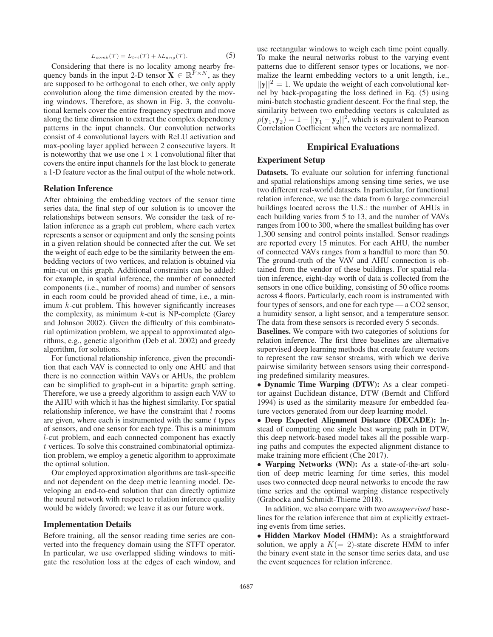$$
L_{comb}(\mathcal{T}) = L_{tri}(\mathcal{T}) + \lambda L_{ang}(\mathcal{T}). \tag{5}
$$

Considering that there is no locality among nearby frequency bands in the input 2-D tensor  $\mathbf{X} \in \mathbb{R}^{F \times N}$ , as they are supposed to be orthogonal to each other, we only apply convolution along the time dimension created by the moving windows. Therefore, as shown in Fig. 3, the convolutional kernels cover the entire frequency spectrum and move along the time dimension to extract the complex dependency patterns in the input channels. Our convolution networks consist of 4 convolutional layers with ReLU activation and max-pooling layer applied between 2 consecutive layers. It is noteworthy that we use one  $1 \times 1$  convolutional filter that covers the entire input channels for the last block to generate a 1-D feature vector as the final output of the whole network.

#### Relation Inference

After obtaining the embedding vectors of the sensor time series data, the final step of our solution is to uncover the relationships between sensors. We consider the task of relation inference as a graph cut problem, where each vertex represents a sensor or equipment and only the sensing points in a given relation should be connected after the cut. We set the weight of each edge to be the similarity between the embedding vectors of two vertices, and relation is obtained via min-cut on this graph. Additional constraints can be added: for example, in spatial inference, the number of connected components (i.e., number of rooms) and number of sensors in each room could be provided ahead of time, i.e., a minimum k-cut problem. This however significantly increases the complexity, as minimum  $k$ -cut is NP-complete (Garey and Johnson 2002). Given the difficulty of this combinatorial optimization problem, we appeal to approximated algorithms, e.g., genetic algorithm (Deb et al. 2002) and greedy algorithm, for solutions.

For functional relationship inference, given the precondition that each VAV is connected to only one AHU and that there is no connection within VAVs or AHUs, the problem can be simplified to graph-cut in a bipartite graph setting. Therefore, we use a greedy algorithm to assign each VAV to the AHU with which it has the highest similarity. For spatial relationship inference, we have the constraint that  $l$  rooms are given, where each is instrumented with the same  $t$  types of sensors, and one sensor for each type. This is a minimum l-cut problem, and each connected component has exactly t vertices. To solve this constrained combinatorial optimization problem, we employ a genetic algorithm to approximate the optimal solution.

Our employed approximation algorithms are task-specific and not dependent on the deep metric learning model. Developing an end-to-end solution that can directly optimize the neural network with respect to relation inference quality would be widely favored; we leave it as our future work.

### Implementation Details

Before training, all the sensor reading time series are converted into the frequency domain using the STFT operator. In particular, we use overlapped sliding windows to mitigate the resolution loss at the edges of each window, and

use rectangular windows to weigh each time point equally. To make the neural networks robust to the varying event patterns due to different sensor types or locations, we normalize the learnt embedding vectors to a unit length, i.e.,  $||\mathbf{y}||^2 = 1$ . We update the weight of each convolutional kernel by back-propagating the loss defined in Eq. (5) using mini-batch stochastic gradient descent. For the final step, the similarity between two embedding vectors is calculated as  $\rho(\mathbf{y}_1, \mathbf{y}_2)=1 - ||\mathbf{y}_1 - \mathbf{y}_2||^2$ , which is equivalent to Pearson Correlation Coefficient when the vectors are normalized.

# Empirical Evaluations

# Experiment Setup

Datasets. To evaluate our solution for inferring functional and spatial relationships among sensing time series, we use two different real-world datasets. In particular, for functional relation inference, we use the data from 6 large commercial buildings located across the U.S.: the number of AHUs in each building varies from 5 to 13, and the number of VAVs ranges from 100 to 300, where the smallest building has over 1,300 sensing and control points installed. Sensor readings are reported every 15 minutes. For each AHU, the number of connected VAVs ranges from a handful to more than 50. The ground-truth of the VAV and AHU connection is obtained from the vendor of these buildings. For spatial relation inference, eight-day worth of data is collected from the sensors in one office building, consisting of 50 office rooms across 4 floors. Particularly, each room is instrumented with four types of sensors, and one for each type — a CO2 sensor, a humidity sensor, a light sensor, and a temperature sensor. The data from these sensors is recorded every 5 seconds.

Baselines. We compare with two categories of solutions for relation inference. The first three baselines are alternative supervised deep learning methods that create feature vectors to represent the raw sensor streams, with which we derive pairwise similarity between sensors using their corresponding predefined similarity measures.

• Dynamic Time Warping (DTW): As a clear competitor against Euclidean distance, DTW (Berndt and Clifford 1994) is used as the similarity measure for embedded feature vectors generated from our deep learning model.

• Deep Expected Alignment Distance (DECADE): Instead of computing one single best warping path in DTW, this deep network-based model takes all the possible warping paths and computes the expected alignment distance to make training more efficient (Che 2017).

• Warping Networks (WN): As a state-of-the-art solution of deep metric learning for time series, this model uses two connected deep neural networks to encode the raw time series and the optimal warping distance respectively (Grabocka and Schmidt-Thieme 2018).

In addition, we also compare with two *unsupervised* baselines for the relation inference that aim at explicitly extracting events from time series.

• Hidden Markov Model (HMM): As a straightforward solution, we apply a  $K(= 2)$ -state discrete HMM to infer the binary event state in the sensor time series data, and use the event sequences for relation inference.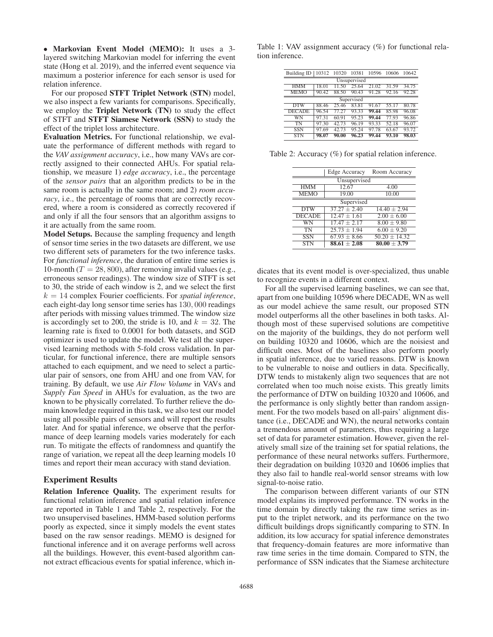• Markovian Event Model (MEMO): It uses a 3 layered switching Markovian model for inferring the event state (Hong et al. 2019), and the inferred event sequence via maximum a posterior inference for each sensor is used for relation inference.

For our proposed STFT Triplet Network (STN) model, we also inspect a few variants for comparisons. Specifically, we employ the Triplet Network (TN) to study the effect of STFT and STFT Siamese Network (SSN) to study the effect of the triplet loss architecture.

Evaluation Metrics. For functional relationship, we evaluate the performance of different methods with regard to the *VAV assignment accuracy*, i.e., how many VAVs are correctly assigned to their connected AHUs. For spatial relationship, we measure 1) *edge accuracy*, i.e., the percentage of the *sensor pairs* that an algorithm predicts to be in the same room is actually in the same room; and 2) *room accuracy*, i.e., the percentage of rooms that are correctly recovered, where a room is considered as correctly recovered if and only if all the four sensors that an algorithm assigns to it are actually from the same room.

Model Setups. Because the sampling frequency and length of sensor time series in the two datasets are different, we use two different sets of parameters for the two inference tasks. For *functional inference*, the duration of entire time series is 10-month ( $T = 28,800$ ), after removing invalid values (e.g., erroneous sensor readings). The window size of STFT is set to 30, the stride of each window is 2, and we select the first k = 14 complex Fourier coefficients. For *spatial inference*, each eight-day long sensor time series has 130, 000 readings after periods with missing values trimmed. The window size is accordingly set to 200, the stride is 10, and  $k = 32$ . The learning rate is fixed to 0.0001 for both datasets, and SGD optimizer is used to update the model. We test all the supervised learning methods with 5-fold cross validation. In particular, for functional inference, there are multiple sensors attached to each equipment, and we need to select a particular pair of sensors, one from AHU and one from VAV, for training. By default, we use *Air Flow Volume* in VAVs and *Supply Fan Speed* in AHUs for evaluation, as the two are known to be physically correlated. To further relieve the domain knowledge required in this task, we also test our model using all possible pairs of sensors and will report the results later. And for spatial inference, we observe that the performance of deep learning models varies moderately for each run. To mitigate the effects of randomness and quantify the range of variation, we repeat all the deep learning models 10 times and report their mean accuracy with stand deviation.

### Experiment Results

Relation Inference Quality. The experiment results for functional relation inference and spatial relation inference are reported in Table 1 and Table 2, respectively. For the two unsupervised baselines, HMM-based solution performs poorly as expected, since it simply models the event states based on the raw sensor readings. MEMO is designed for functional inference and it on average performs well across all the buildings. However, this event-based algorithm cannot extract efficacious events for spatial inference, which inTable 1: VAV assignment accuracy (%) for functional relation inference.

| <b>Building ID</b> | 10312 | 10320 | 10381 | 10596 | 10606 | 10642 |  |
|--------------------|-------|-------|-------|-------|-------|-------|--|
| Unsupervised       |       |       |       |       |       |       |  |
| HMM                | 18.01 | 1.50  | 25.64 | 21.02 | 31.59 | 34.75 |  |
| <b>MEMO</b>        | 90.42 | 88.50 | 90.43 | 91.28 | 92.16 | 92.28 |  |
| Supervised         |       |       |       |       |       |       |  |
| <b>DTW</b>         | 88.46 | 25.46 | 83.81 | 91.67 | 55.17 | 80.78 |  |
| <b>DECADE</b>      | 96.54 | 77.27 | 93.33 | 99.44 | 85.98 | 96.08 |  |
| WN                 | 97.31 | 60.91 | 95.23 | 99.44 | 77.93 | 96.86 |  |
| TN                 | 97.30 | 42.73 | 96.19 | 93.33 | 52.18 | 96.07 |  |
| <b>SSN</b>         | 97.69 | 42.73 | 95.24 | 97.78 | 63.67 | 93.72 |  |
| <b>STN</b>         | 98.07 | 90.00 | 96.23 | 99.44 | 93.10 | 98.03 |  |

Table 2: Accuracy (%) for spatial relation inference.

|               | Edge Accuracy    | Room Accuracy     |  |  |  |  |
|---------------|------------------|-------------------|--|--|--|--|
| Unsupervised  |                  |                   |  |  |  |  |
| <b>HMM</b>    | 12.67            | 4.00              |  |  |  |  |
| <b>MEMO</b>   | 19.00            | 10.00             |  |  |  |  |
| Supervised    |                  |                   |  |  |  |  |
| <b>DTW</b>    | $37.27 + 2.40$   | $14.40 \pm 2.94$  |  |  |  |  |
| <b>DECADE</b> | $12.47 + 1.61$   | $2.00 \pm 6.00$   |  |  |  |  |
| WN            | $17.47 + 2.17$   | $8.00 \pm 9.80$   |  |  |  |  |
| <b>TN</b>     | $25.73 \pm 1.94$ | $6.00 \pm 9.20$   |  |  |  |  |
| <b>SSN</b>    | $67.93 \pm 8.66$ | $50.20 \pm 14.32$ |  |  |  |  |
| <b>STN</b>    | $88.61 + 2.08$   | $80.00 + 3.79$    |  |  |  |  |

dicates that its event model is over-specialized, thus unable to recognize events in a different context.

For all the supervised learning baselines, we can see that, apart from one building 10596 where DECADE, WN as well as our model achieve the same result, our proposed STN model outperforms all the other baselines in both tasks. Although most of these supervised solutions are competitive on the majority of the buildings, they do not perform well on building 10320 and 10606, which are the noisiest and difficult ones. Most of the baselines also perform poorly in spatial inference, due to varied reasons. DTW is known to be vulnerable to noise and outliers in data. Specifically, DTW tends to mistakenly align two sequences that are not correlated when too much noise exists. This greatly limits the performance of DTW on building 10320 and 10606, and the performance is only slightly better than random assignment. For the two models based on all-pairs' alignment distance (i.e., DECADE and WN), the neural networks contain a tremendous amount of parameters, thus requiring a large set of data for parameter estimation. However, given the relatively small size of the training set for spatial relations, the performance of these neural networks suffers. Furthermore, their degradation on building 10320 and 10606 implies that they also fail to handle real-world sensor streams with low signal-to-noise ratio.

The comparison between different variants of our STN model explains its improved performance. TN works in the time domain by directly taking the raw time series as input to the triplet network, and its performance on the two difficult buildings drops significantly comparing to STN. In addition, its low accuracy for spatial inference demonstrates that frequency-domain features are more informative than raw time series in the time domain. Compared to STN, the performance of SSN indicates that the Siamese architecture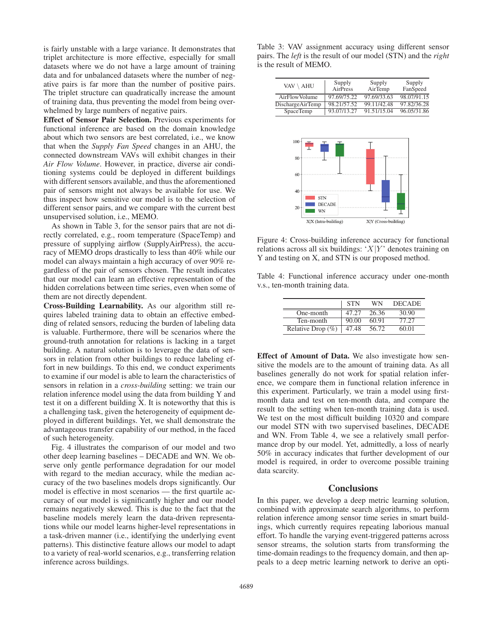is fairly unstable with a large variance. It demonstrates that triplet architecture is more effective, especially for small datasets where we do not have a large amount of training data and for unbalanced datasets where the number of negative pairs is far more than the number of positive pairs. The triplet structure can quadratically increase the amount of training data, thus preventing the model from being overwhelmed by large numbers of negative pairs.

Effect of Sensor Pair Selection. Previous experiments for functional inference are based on the domain knowledge about which two sensors are best correlated, i.e., we know that when the *Supply Fan Speed* changes in an AHU, the connected downstream VAVs will exhibit changes in their *Air Flow Volume*. However, in practice, diverse air conditioning systems could be deployed in different buildings with different sensors available, and thus the aforementioned pair of sensors might not always be available for use. We thus inspect how sensitive our model is to the selection of different sensor pairs, and we compare with the current best unsupervised solution, i.e., MEMO.

As shown in Table 3, for the sensor pairs that are not directly correlated, e.g., room temperature (SpaceTemp) and pressure of supplying airflow (SupplyAirPress), the accuracy of MEMO drops drastically to less than 40% while our model can always maintain a high accuracy of over 90% regardless of the pair of sensors chosen. The result indicates that our model can learn an effective representation of the hidden correlations between time series, even when some of them are not directly dependent.

Cross-Building Learnability. As our algorithm still requires labeled training data to obtain an effective embedding of related sensors, reducing the burden of labeling data is valuable. Furthermore, there will be scenarios where the ground-truth annotation for relations is lacking in a target building. A natural solution is to leverage the data of sensors in relation from other buildings to reduce labeling effort in new buildings. To this end, we conduct experiments to examine if our model is able to learn the characteristics of sensors in relation in a *cross-building* setting: we train our relation inference model using the data from building Y and test it on a different building X. It is noteworthy that this is a challenging task, given the heterogeneity of equipment deployed in different buildings. Yet, we shall demonstrate the advantageous transfer capability of our method, in the faced of such heterogeneity.

Fig. 4 illustrates the comparison of our model and two other deep learning baselines – DECADE and WN. We observe only gentle performance degradation for our model with regard to the median accuracy, while the median accuracy of the two baselines models drops significantly. Our model is effective in most scenarios — the first quartile accuracy of our model is significantly higher and our model remains negatively skewed. This is due to the fact that the baseline models merely learn the data-driven representations while our model learns higher-level representations in a task-driven manner (i.e., identifying the underlying event patterns). This distinctive feature allows our model to adapt to a variety of real-world scenarios, e.g., transferring relation inference across buildings.

Table 3: VAV assignment accuracy using different sensor pairs. The *left* is the result of our model (STN) and the *right* is the result of MEMO.

| VAV \ AHU               | Supply<br>AirPress | Supply<br>AirTemp | Supply<br>FanSpeed |
|-------------------------|--------------------|-------------------|--------------------|
| AirFlowVolume           | 97.69/75.22        | 97.69/33.63       | 98.07/91.15        |
| <b>DischargeAirTemp</b> | 98.21/57.52        | 99.11/42.48       | 97.82/36.28        |
| <b>SpaceTemp</b>        | 93.07/13.27        | 91.51/15.04       | 96.05/31.86        |



Figure 4: Cross-building inference accuracy for functional relations across all six buildings: ' $X|Y$ ' denotes training on Y and testing on X, and STN is our proposed method.

Table 4: Functional inference accuracy under one-month v.s., ten-month training data.

|                      | <b>STN</b> | WN    | <b>DECADE</b> |
|----------------------|------------|-------|---------------|
| One-month            | 47.27      | 26.36 | 30.90         |
| Ten-month            | 90.00      | 60.91 | 77.27         |
| Relative Drop $(\%)$ | 47.48      | 56.72 | 60.01         |

Effect of Amount of Data. We also investigate how sensitive the models are to the amount of training data. As all baselines generally do not work for spatial relation inference, we compare them in functional relation inference in this experiment. Particularly, we train a model using firstmonth data and test on ten-month data, and compare the result to the setting when ten-month training data is used. We test on the most difficult building 10320 and compare our model STN with two supervised baselines, DECADE and WN. From Table 4, we see a relatively small performance drop by our model. Yet, admittedly, a loss of nearly 50% in accuracy indicates that further development of our model is required, in order to overcome possible training data scarcity.

### **Conclusions**

In this paper, we develop a deep metric learning solution, combined with approximate search algorithms, to perform relation inference among sensor time series in smart buildings, which currently requires repeating laborious manual effort. To handle the varying event-triggered patterns across sensor streams, the solution starts from transforming the time-domain readings to the frequency domain, and then appeals to a deep metric learning network to derive an opti-